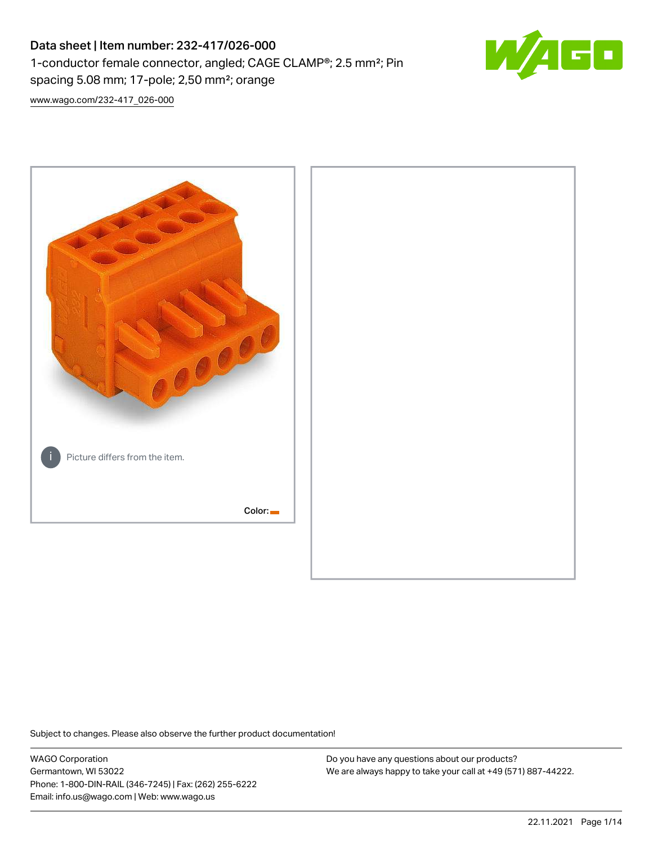# Data sheet | Item number: 232-417/026-000 1-conductor female connector, angled; CAGE CLAMP®; 2.5 mm²; Pin spacing 5.08 mm; 17-pole; 2,50 mm²; orange



[www.wago.com/232-417\\_026-000](http://www.wago.com/232-417_026-000)



Subject to changes. Please also observe the further product documentation!

WAGO Corporation Germantown, WI 53022 Phone: 1-800-DIN-RAIL (346-7245) | Fax: (262) 255-6222 Email: info.us@wago.com | Web: www.wago.us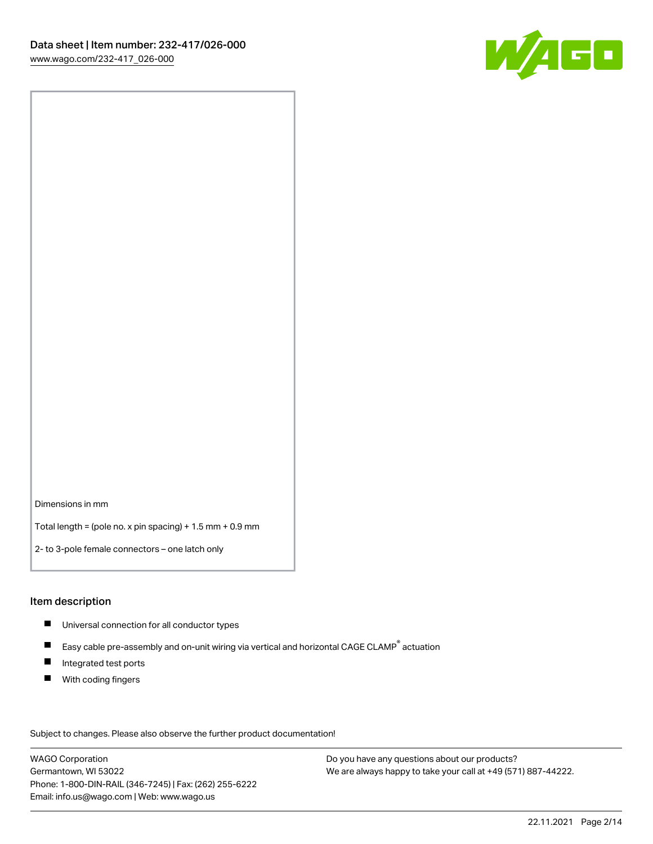

Dimensions in mm

Total length = (pole no. x pin spacing) + 1.5 mm + 0.9 mm

2- to 3-pole female connectors – one latch only

#### Item description

- **Universal connection for all conductor types**
- Easy cable pre-assembly and on-unit wiring via vertical and horizontal CAGE CLAMP<sup>®</sup> actuation  $\blacksquare$
- $\blacksquare$ Integrated test ports
- $\blacksquare$ With coding fingers

Subject to changes. Please also observe the further product documentation! Data

WAGO Corporation Germantown, WI 53022 Phone: 1-800-DIN-RAIL (346-7245) | Fax: (262) 255-6222 Email: info.us@wago.com | Web: www.wago.us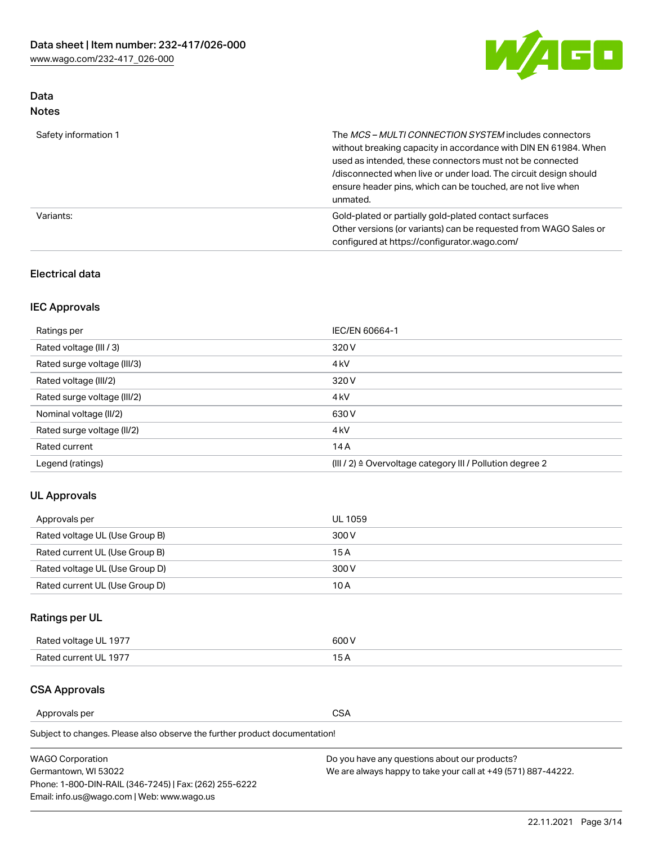

## Data Notes

| Safety information 1 | The <i>MCS – MULTI CONNECTION SYSTEM</i> includes connectors<br>without breaking capacity in accordance with DIN EN 61984. When<br>used as intended, these connectors must not be connected<br>/disconnected when live or under load. The circuit design should<br>ensure header pins, which can be touched, are not live when<br>unmated. |
|----------------------|--------------------------------------------------------------------------------------------------------------------------------------------------------------------------------------------------------------------------------------------------------------------------------------------------------------------------------------------|
| Variants:            | Gold-plated or partially gold-plated contact surfaces<br>Other versions (or variants) can be requested from WAGO Sales or<br>configured at https://configurator.wago.com/                                                                                                                                                                  |

### Electrical data

## IEC Approvals

| Ratings per                 | IEC/EN 60664-1                                                        |
|-----------------------------|-----------------------------------------------------------------------|
| Rated voltage (III / 3)     | 320 V                                                                 |
| Rated surge voltage (III/3) | 4 <sub>k</sub> V                                                      |
| Rated voltage (III/2)       | 320 V                                                                 |
| Rated surge voltage (III/2) | 4 <sub>k</sub> V                                                      |
| Nominal voltage (II/2)      | 630 V                                                                 |
| Rated surge voltage (II/2)  | 4 <sub>k</sub> V                                                      |
| Rated current               | 14A                                                                   |
| Legend (ratings)            | $(III / 2)$ $\triangle$ Overvoltage category III / Pollution degree 2 |

### UL Approvals

| Approvals per                  | UL 1059 |
|--------------------------------|---------|
| Rated voltage UL (Use Group B) | 300 V   |
| Rated current UL (Use Group B) | 15 A    |
| Rated voltage UL (Use Group D) | 300 V   |
| Rated current UL (Use Group D) | 10 A    |

# Ratings per UL

| Rated voltage UL 1977 | 600 V         |
|-----------------------|---------------|
| Rated current UL 1977 | $\sim$ $\sim$ |

### CSA Approvals

Approvals per CSA

Subject to changes. Please also observe the further product documentation!

| <b>WAGO Corporation</b>                                | Do you have any questions about our products?                 |
|--------------------------------------------------------|---------------------------------------------------------------|
| Germantown, WI 53022                                   | We are always happy to take your call at +49 (571) 887-44222. |
| Phone: 1-800-DIN-RAIL (346-7245)   Fax: (262) 255-6222 |                                                               |
| Email: info.us@wago.com   Web: www.wago.us             |                                                               |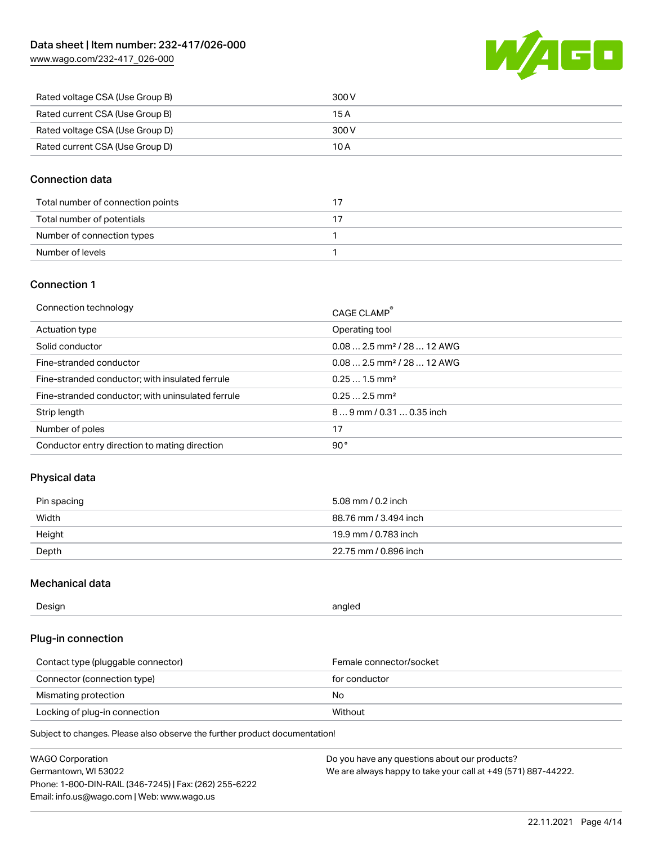

| Rated voltage CSA (Use Group B) | 300 V |
|---------------------------------|-------|
| Rated current CSA (Use Group B) | 15 A  |
| Rated voltage CSA (Use Group D) | 300 V |
| Rated current CSA (Use Group D) | 10 A  |

#### Connection data

| Total number of connection points |  |
|-----------------------------------|--|
| Total number of potentials        |  |
| Number of connection types        |  |
| Number of levels                  |  |

#### Connection 1

| Connection technology                             | CAGE CLAMP®                            |
|---------------------------------------------------|----------------------------------------|
| Actuation type                                    | Operating tool                         |
| Solid conductor                                   | $0.082.5$ mm <sup>2</sup> / 28  12 AWG |
| Fine-stranded conductor                           | $0.082.5$ mm <sup>2</sup> / 28  12 AWG |
| Fine-stranded conductor; with insulated ferrule   | $0.251.5$ mm <sup>2</sup>              |
| Fine-stranded conductor; with uninsulated ferrule | $0.252.5$ mm <sup>2</sup>              |
| Strip length                                      | $89$ mm / 0.31  0.35 inch              |
| Number of poles                                   | 17                                     |
| Conductor entry direction to mating direction     | 90°                                    |
|                                                   |                                        |

### Physical data

| Pin spacing | 5.08 mm / 0.2 inch    |
|-------------|-----------------------|
| Width       | 88.76 mm / 3.494 inch |
| Height      | 19.9 mm / 0.783 inch  |
| Depth       | 22.75 mm / 0.896 inch |

#### Mechanical data

| --<br>Design | angled<br>. . |
|--------------|---------------|
|              |               |

### Plug-in connection

| Contact type (pluggable connector) | Female connector/socket |
|------------------------------------|-------------------------|
| Connector (connection type)        | for conductor           |
| Mismating protection               | No                      |
| Locking of plug-in connection      | Without                 |

Subject to changes. Please also observe the further product documentation!

| <b>WAGO Corporation</b>                                | Do you have any questions about our products?                 |
|--------------------------------------------------------|---------------------------------------------------------------|
| Germantown, WI 53022                                   | We are always happy to take your call at +49 (571) 887-44222. |
| Phone: 1-800-DIN-RAIL (346-7245)   Fax: (262) 255-6222 |                                                               |
| Email: info.us@wago.com   Web: www.wago.us             |                                                               |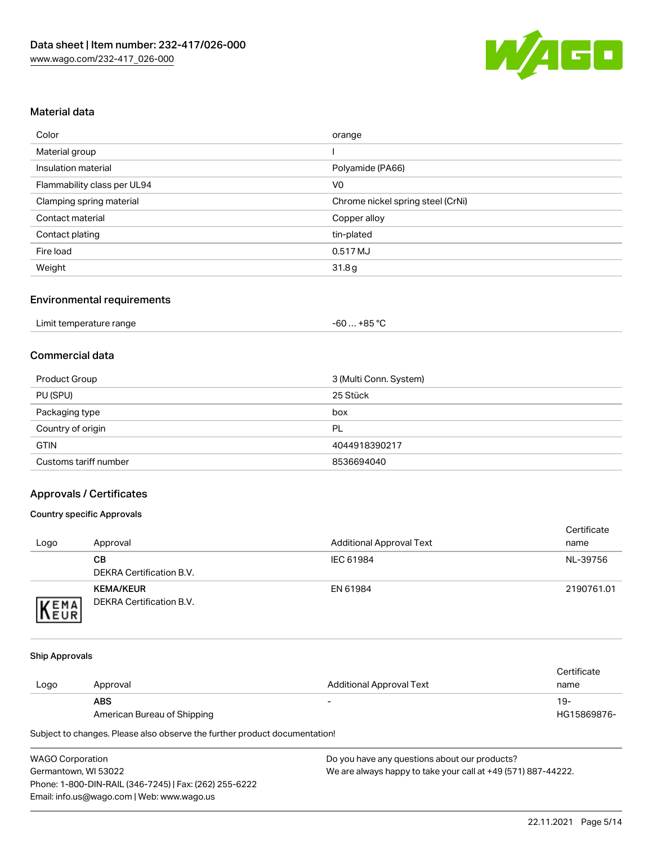

#### Material data

| Color                       | orange                            |
|-----------------------------|-----------------------------------|
| Material group              |                                   |
| Insulation material         | Polyamide (PA66)                  |
| Flammability class per UL94 | V <sub>0</sub>                    |
| Clamping spring material    | Chrome nickel spring steel (CrNi) |
| Contact material            | Copper alloy                      |
| Contact plating             | tin-plated                        |
| Fire load                   | 0.517 MJ                          |
| Weight                      | 31.8g                             |

#### Environmental requirements

| Limit temperature range<br>$\blacksquare$ . The contract of the contract of the contract of the contract of the contract of the contract of the contract of the contract of the contract of the contract of the contract of the contract of the contract of the | …+85 °ົ<br>-60 |  |
|-----------------------------------------------------------------------------------------------------------------------------------------------------------------------------------------------------------------------------------------------------------------|----------------|--|
|-----------------------------------------------------------------------------------------------------------------------------------------------------------------------------------------------------------------------------------------------------------------|----------------|--|

#### Commercial data

| Product Group         | 3 (Multi Conn. System) |
|-----------------------|------------------------|
| PU (SPU)              | 25 Stück               |
| Packaging type        | box                    |
| Country of origin     | PL                     |
| <b>GTIN</b>           | 4044918390217          |
| Customs tariff number | 8536694040             |

### Approvals / Certificates

#### Country specific Approvals

| Logo                | Approval                                            | <b>Additional Approval Text</b> | Certificate<br>name |
|---------------------|-----------------------------------------------------|---------------------------------|---------------------|
|                     | CВ<br>DEKRA Certification B.V.                      | IEC 61984                       | NL-39756            |
| EMA<br><b>INEUR</b> | <b>KEMA/KEUR</b><br><b>DEKRA Certification B.V.</b> | EN 61984                        | 2190761.01          |

#### Ship Approvals

|      |                             |                                 | Certificate |
|------|-----------------------------|---------------------------------|-------------|
| Logo | Approval                    | <b>Additional Approval Text</b> | name        |
|      | <b>ABS</b>                  | $\overline{\phantom{0}}$        | 19-         |
|      | American Bureau of Shipping |                                 | HG15869876- |

Subject to changes. Please also observe the further product documentation!

| <b>WAGO Corporation</b>                                | Do v |
|--------------------------------------------------------|------|
| Germantown, WI 53022                                   | We a |
| Phone: 1-800-DIN-RAIL (346-7245)   Fax: (262) 255-6222 |      |
| Email: info.us@wago.com   Web: www.wago.us             |      |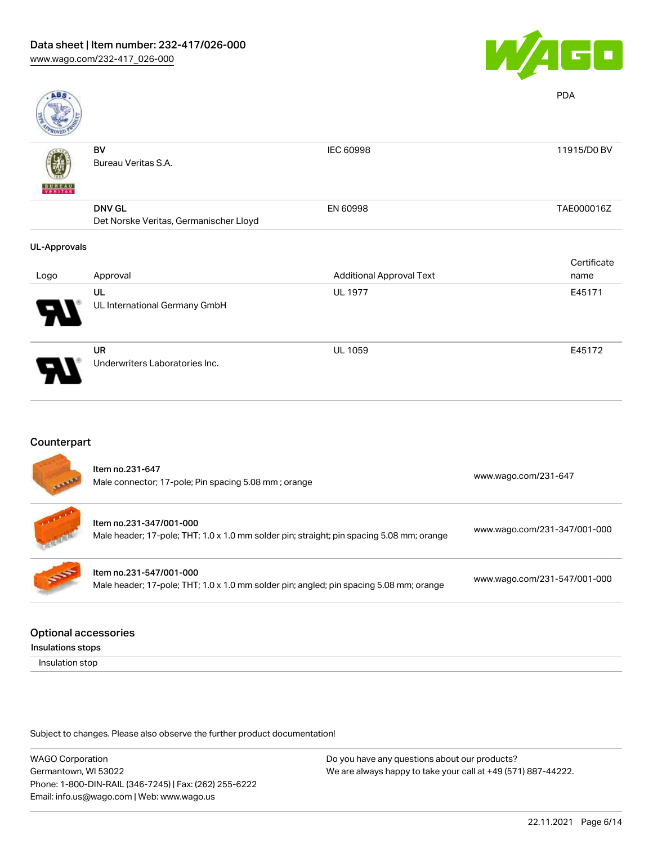

| <b>ABS</b>               |                                        |                                 | <b>PDA</b>  |
|--------------------------|----------------------------------------|---------------------------------|-------------|
|                          | BV                                     | IEC 60998                       | 11915/D0 BV |
|                          | Bureau Veritas S.A.                    |                                 |             |
| <b>BUNEAU</b><br>VERITAS |                                        |                                 |             |
|                          | <b>DNV GL</b>                          | EN 60998                        | TAE000016Z  |
|                          | Det Norske Veritas, Germanischer Lloyd |                                 |             |
| <b>UL-Approvals</b>      |                                        |                                 |             |
|                          |                                        |                                 | Certificate |
| Logo                     | Approval                               | <b>Additional Approval Text</b> | name        |
|                          | UL                                     | <b>UL 1977</b>                  | E45171      |
|                          | UL International Germany GmbH          |                                 |             |
|                          | <b>UR</b>                              | <b>UL 1059</b>                  | E45172      |
|                          | Underwriters Laboratories Inc.         |                                 |             |

# Counterpart

|            | Item no.231-647<br>Male connector; 17-pole; Pin spacing 5.08 mm; orange                                              | www.wago.com/231-647         |
|------------|----------------------------------------------------------------------------------------------------------------------|------------------------------|
|            | Item no.231-347/001-000<br>Male header; 17-pole; THT; 1.0 x 1.0 mm solder pin; straight; pin spacing 5.08 mm; orange | www.wago.com/231-347/001-000 |
| <b>SOF</b> | Item no.231-547/001-000<br>Male header; 17-pole; THT; 1.0 x 1.0 mm solder pin; angled; pin spacing 5.08 mm; orange   | www.wago.com/231-547/001-000 |
|            |                                                                                                                      |                              |

#### Optional accessories

Insulations stops

Insulation stop

Subject to changes. Please also observe the further product documentation!

WAGO Corporation Germantown, WI 53022 Phone: 1-800-DIN-RAIL (346-7245) | Fax: (262) 255-6222 Email: info.us@wago.com | Web: www.wago.us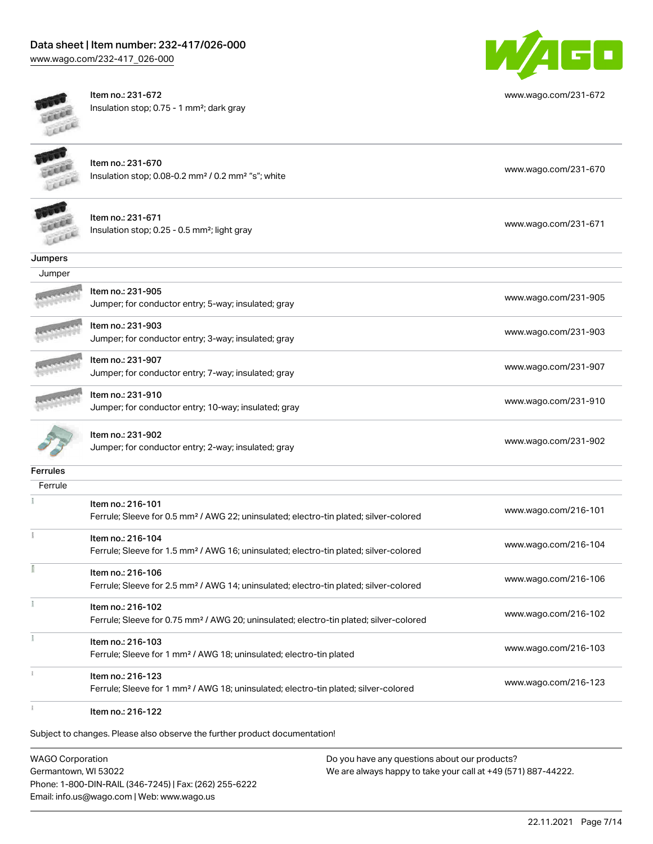# Data sheet | Item number: 232-417/026-000

[www.wago.com/232-417\\_026-000](http://www.wago.com/232-417_026-000)



Item no.: 231-672 Insulation stop; 0.75 - 1 mm²; dark gray



[www.wago.com/231-672](http://www.wago.com/231-672)

Item no.: 231-670 Insulation stop; 0.08-0.2 mm² / 0.2 mm² "s"; white [www.wago.com/231-670](http://www.wago.com/231-670) www.wago.com/231-670



Jumpers

Item no.: 231-671 Insulation stop; 0.25 - 0.5 mm²; light gray [www.wago.com/231-671](http://www.wago.com/231-671) www.wago.com/231-671

| Jumper                             |                                                     |                      |
|------------------------------------|-----------------------------------------------------|----------------------|
| <b>CONTRACTOR</b>                  | ltem no.: 231-905                                   | www.wago.com/231-905 |
| <b>COLLER IN THE REAL PROPERTY</b> | Jumper; for conductor entry; 5-way; insulated; gray |                      |

Item no.: 231-903 Jumper; for conductor entry; 3-way; insulated; gray [www.wago.com/231-903](http://www.wago.com/231-903)



Jumper; for conductor entry; 7-way; insulated; gray [www.wago.com/231-907](http://www.wago.com/231-907) Item no.: 231-910 Jumper; for conductor entry; 10-way; insulated; gray [www.wago.com/231-910](http://www.wago.com/231-910)

Item no.: 231-907



Item no.: 231-902

Jumper; for conductor entry; 2-way; insulated; gray [www.wago.com/231-902](http://www.wago.com/231-902)

**Ferrules** 

| Ferrule |                                                                                                    |                      |
|---------|----------------------------------------------------------------------------------------------------|----------------------|
|         | Item no.: 216-101                                                                                  |                      |
|         | Ferrule; Sleeve for 0.5 mm <sup>2</sup> / AWG 22; uninsulated; electro-tin plated; silver-colored  | www.wago.com/216-101 |
|         | Item no.: 216-104                                                                                  |                      |
|         | Ferrule; Sleeve for 1.5 mm <sup>2</sup> / AWG 16; uninsulated; electro-tin plated; silver-colored  | www.wago.com/216-104 |
|         | Item no.: 216-106                                                                                  |                      |
|         | Ferrule; Sleeve for 2.5 mm <sup>2</sup> / AWG 14; uninsulated; electro-tin plated; silver-colored  | www.wago.com/216-106 |
|         | Item no.: 216-102                                                                                  |                      |
|         | Ferrule; Sleeve for 0.75 mm <sup>2</sup> / AWG 20; uninsulated; electro-tin plated; silver-colored | www.wago.com/216-102 |
|         | Item no.: 216-103                                                                                  |                      |
|         | Ferrule; Sleeve for 1 mm <sup>2</sup> / AWG 18; uninsulated; electro-tin plated                    | www.wago.com/216-103 |
|         | Item no.: 216-123                                                                                  |                      |
|         | Ferrule; Sleeve for 1 mm <sup>2</sup> / AWG 18; uninsulated; electro-tin plated; silver-colored    | www.wago.com/216-123 |
|         |                                                                                                    |                      |

Item no.: 216-122

Subject to changes. Please also observe the further product documentation!

WAGO Corporation Germantown, WI 53022 Phone: 1-800-DIN-RAIL (346-7245) | Fax: (262) 255-6222 Email: info.us@wago.com | Web: www.wago.us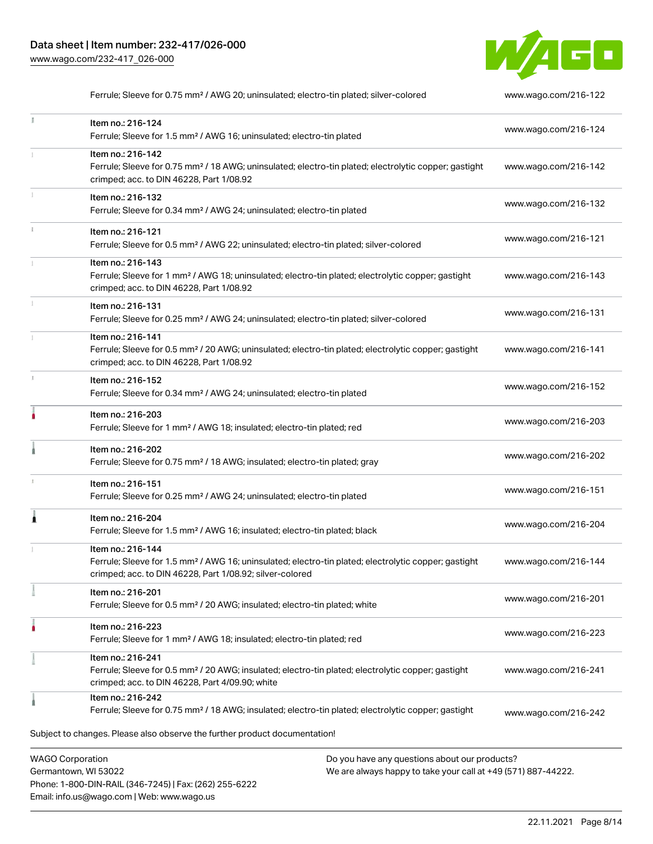Phone: 1-800-DIN-RAIL (346-7245) | Fax: (262) 255-6222

Email: info.us@wago.com | Web: www.wago.us



Ferrule; Sleeve for 0.75 mm<sup>2</sup> / AWG 20; uninsulated; electro-tin plated; silver-colored [www.wago.com/216-122](http://www.wago.com/216-122)

| ă.                                              | Item no.: 216-124<br>Ferrule; Sleeve for 1.5 mm <sup>2</sup> / AWG 16; uninsulated; electro-tin plated                                                                                            |                                                                                                                | www.wago.com/216-124 |
|-------------------------------------------------|---------------------------------------------------------------------------------------------------------------------------------------------------------------------------------------------------|----------------------------------------------------------------------------------------------------------------|----------------------|
|                                                 | Item no.: 216-142<br>Ferrule; Sleeve for 0.75 mm <sup>2</sup> / 18 AWG; uninsulated; electro-tin plated; electrolytic copper; gastight<br>crimped; acc. to DIN 46228, Part 1/08.92                |                                                                                                                | www.wago.com/216-142 |
| ĵ.                                              | Item no.: 216-132<br>Ferrule; Sleeve for 0.34 mm <sup>2</sup> / AWG 24; uninsulated; electro-tin plated                                                                                           |                                                                                                                | www.wago.com/216-132 |
| Î.                                              | Item no.: 216-121<br>Ferrule; Sleeve for 0.5 mm <sup>2</sup> / AWG 22; uninsulated; electro-tin plated; silver-colored                                                                            |                                                                                                                | www.wago.com/216-121 |
|                                                 | Item no.: 216-143<br>Ferrule; Sleeve for 1 mm <sup>2</sup> / AWG 18; uninsulated; electro-tin plated; electrolytic copper; gastight<br>crimped; acc. to DIN 46228, Part 1/08.92                   |                                                                                                                | www.wago.com/216-143 |
|                                                 | Item no.: 216-131<br>Ferrule; Sleeve for 0.25 mm <sup>2</sup> / AWG 24; uninsulated; electro-tin plated; silver-colored                                                                           |                                                                                                                | www.wago.com/216-131 |
|                                                 | Item no.: 216-141<br>Ferrule; Sleeve for 0.5 mm <sup>2</sup> / 20 AWG; uninsulated; electro-tin plated; electrolytic copper; gastight<br>crimped; acc. to DIN 46228, Part 1/08.92                 |                                                                                                                | www.wago.com/216-141 |
| J.                                              | Item no.: 216-152<br>Ferrule; Sleeve for 0.34 mm <sup>2</sup> / AWG 24; uninsulated; electro-tin plated                                                                                           |                                                                                                                | www.wago.com/216-152 |
| ۸                                               | Item no.: 216-203<br>Ferrule; Sleeve for 1 mm <sup>2</sup> / AWG 18; insulated; electro-tin plated; red                                                                                           |                                                                                                                | www.wago.com/216-203 |
|                                                 | Item no.: 216-202<br>Ferrule; Sleeve for 0.75 mm <sup>2</sup> / 18 AWG; insulated; electro-tin plated; gray                                                                                       |                                                                                                                | www.wago.com/216-202 |
| 1                                               | Item no.: 216-151<br>Ferrule; Sleeve for 0.25 mm <sup>2</sup> / AWG 24; uninsulated; electro-tin plated                                                                                           |                                                                                                                | www.wago.com/216-151 |
| Â                                               | Item no.: 216-204<br>Ferrule; Sleeve for 1.5 mm <sup>2</sup> / AWG 16; insulated; electro-tin plated; black                                                                                       |                                                                                                                | www.wago.com/216-204 |
|                                                 | Item no.: 216-144<br>Ferrule; Sleeve for 1.5 mm <sup>2</sup> / AWG 16; uninsulated; electro-tin plated; electrolytic copper; gastight<br>crimped; acc. to DIN 46228, Part 1/08.92; silver-colored |                                                                                                                | www.wago.com/216-144 |
|                                                 | Item no.: 216-201<br>Ferrule; Sleeve for 0.5 mm <sup>2</sup> / 20 AWG; insulated; electro-tin plated; white                                                                                       |                                                                                                                | www.wago.com/216-201 |
|                                                 | Item no.: 216-223<br>Ferrule; Sleeve for 1 mm <sup>2</sup> / AWG 18; insulated; electro-tin plated; red                                                                                           |                                                                                                                | www.wago.com/216-223 |
|                                                 | Item no.: 216-241<br>Ferrule; Sleeve for 0.5 mm <sup>2</sup> / 20 AWG; insulated; electro-tin plated; electrolytic copper; gastight<br>crimped; acc. to DIN 46228, Part 4/09.90; white            |                                                                                                                | www.wago.com/216-241 |
|                                                 | Item no.: 216-242<br>Ferrule; Sleeve for 0.75 mm <sup>2</sup> / 18 AWG; insulated; electro-tin plated; electrolytic copper; gastight                                                              |                                                                                                                | www.wago.com/216-242 |
|                                                 | Subject to changes. Please also observe the further product documentation!                                                                                                                        |                                                                                                                |                      |
| <b>WAGO Corporation</b><br>Germantown, WI 53022 |                                                                                                                                                                                                   | Do you have any questions about our products?<br>We are always happy to take your call at +49 (571) 887-44222. |                      |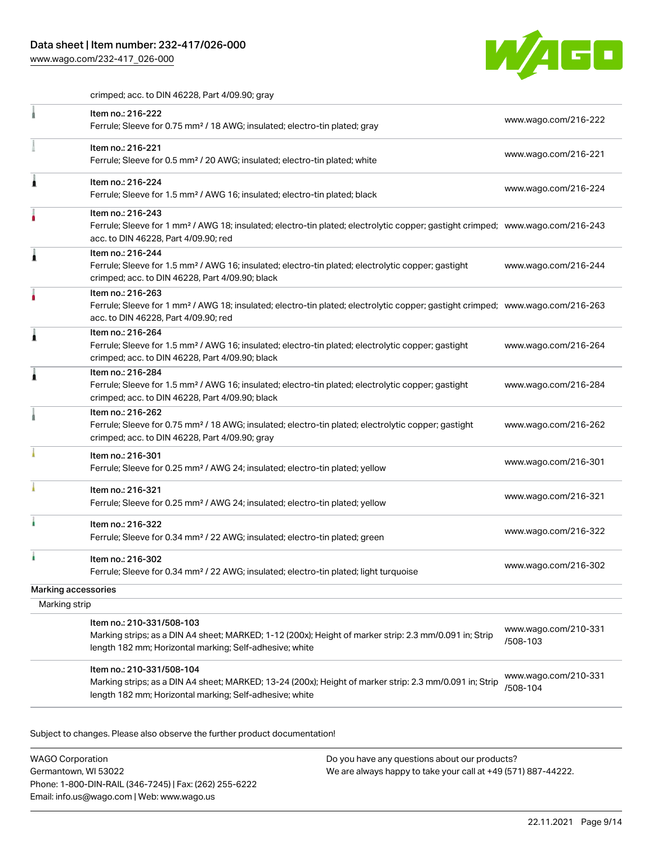

crimped; acc. to DIN 46228, Part 4/09.90; gray

|                     | Item no.: 216-222<br>Ferrule; Sleeve for 0.75 mm <sup>2</sup> / 18 AWG; insulated; electro-tin plated; gray                                                                                             | www.wago.com/216-222             |
|---------------------|---------------------------------------------------------------------------------------------------------------------------------------------------------------------------------------------------------|----------------------------------|
|                     | Item no.: 216-221<br>Ferrule; Sleeve for 0.5 mm <sup>2</sup> / 20 AWG; insulated; electro-tin plated; white                                                                                             | www.wago.com/216-221             |
|                     | Item no.: 216-224<br>Ferrule; Sleeve for 1.5 mm <sup>2</sup> / AWG 16; insulated; electro-tin plated; black                                                                                             | www.wago.com/216-224             |
|                     | Item no.: 216-243<br>Ferrule; Sleeve for 1 mm <sup>2</sup> / AWG 18; insulated; electro-tin plated; electrolytic copper; gastight crimped; www.wago.com/216-243<br>acc. to DIN 46228, Part 4/09.90; red |                                  |
|                     | Item no.: 216-244<br>Ferrule; Sleeve for 1.5 mm <sup>2</sup> / AWG 16; insulated; electro-tin plated; electrolytic copper; gastight<br>crimped; acc. to DIN 46228, Part 4/09.90; black                  | www.wago.com/216-244             |
|                     | Item no.: 216-263<br>Ferrule; Sleeve for 1 mm <sup>2</sup> / AWG 18; insulated; electro-tin plated; electrolytic copper; gastight crimped; www.wago.com/216-263<br>acc. to DIN 46228, Part 4/09.90; red |                                  |
|                     | Item no.: 216-264<br>Ferrule; Sleeve for 1.5 mm <sup>2</sup> / AWG 16; insulated; electro-tin plated; electrolytic copper; gastight<br>crimped; acc. to DIN 46228, Part 4/09.90; black                  | www.wago.com/216-264             |
|                     | Item no.: 216-284<br>Ferrule; Sleeve for 1.5 mm <sup>2</sup> / AWG 16; insulated; electro-tin plated; electrolytic copper; gastight<br>crimped; acc. to DIN 46228, Part 4/09.90; black                  | www.wago.com/216-284             |
|                     | Item no.: 216-262<br>Ferrule; Sleeve for 0.75 mm <sup>2</sup> / 18 AWG; insulated; electro-tin plated; electrolytic copper; gastight<br>crimped; acc. to DIN 46228, Part 4/09.90; gray                  | www.wago.com/216-262             |
|                     | Item no.: 216-301<br>Ferrule; Sleeve for 0.25 mm <sup>2</sup> / AWG 24; insulated; electro-tin plated; yellow                                                                                           | www.wago.com/216-301             |
|                     | Item no.: 216-321<br>Ferrule; Sleeve for 0.25 mm <sup>2</sup> / AWG 24; insulated; electro-tin plated; yellow                                                                                           | www.wago.com/216-321             |
|                     | Item no.: 216-322<br>Ferrule; Sleeve for 0.34 mm <sup>2</sup> / 22 AWG; insulated; electro-tin plated; green                                                                                            | www.wago.com/216-322             |
|                     | Item no.: 216-302<br>Ferrule; Sleeve for 0.34 mm <sup>2</sup> / 22 AWG; insulated; electro-tin plated; light turquoise                                                                                  | www.wago.com/216-302             |
| Marking accessories |                                                                                                                                                                                                         |                                  |
| Marking strip       |                                                                                                                                                                                                         |                                  |
|                     | Item no.: 210-331/508-103<br>Marking strips; as a DIN A4 sheet; MARKED; 1-12 (200x); Height of marker strip: 2.3 mm/0.091 in; Strip<br>length 182 mm; Horizontal marking; Self-adhesive; white          | www.wago.com/210-331<br>/508-103 |
|                     | Item no.: 210-331/508-104<br>Marking strips; as a DIN A4 sheet; MARKED; 13-24 (200x); Height of marker strip: 2.3 mm/0.091 in; Strip<br>length 182 mm; Horizontal marking; Self-adhesive; white         | www.wago.com/210-331<br>/508-104 |

Subject to changes. Please also observe the further product documentation!

WAGO Corporation Germantown, WI 53022 Phone: 1-800-DIN-RAIL (346-7245) | Fax: (262) 255-6222 Email: info.us@wago.com | Web: www.wago.us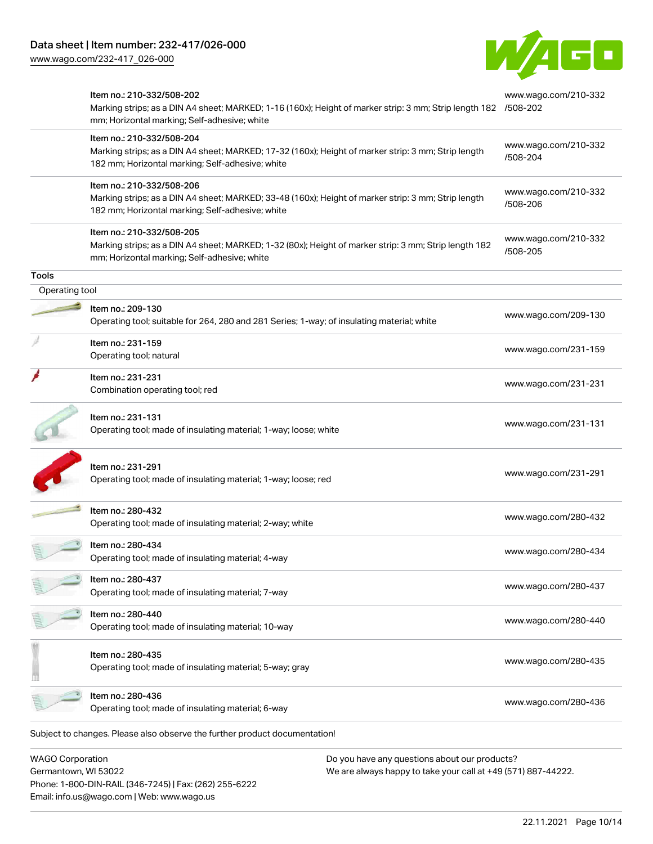

| <b>WAGO Corporation</b> |                                                                                                                                                                                              | Do you have any questions about our products? |                                  |
|-------------------------|----------------------------------------------------------------------------------------------------------------------------------------------------------------------------------------------|-----------------------------------------------|----------------------------------|
|                         | Subject to changes. Please also observe the further product documentation!                                                                                                                   |                                               |                                  |
|                         | Item no.: 280-436<br>Operating tool; made of insulating material; 6-way                                                                                                                      |                                               | www.wago.com/280-436             |
|                         | Item no.: 280-435<br>Operating tool; made of insulating material; 5-way; gray                                                                                                                |                                               | www.wago.com/280-435             |
|                         | Item no.: 280-440<br>Operating tool; made of insulating material; 10-way                                                                                                                     |                                               | www.wago.com/280-440             |
|                         | ltem no.: 280-437<br>Operating tool; made of insulating material; 7-way                                                                                                                      |                                               | www.wago.com/280-437             |
|                         | Item no.: 280-434<br>Operating tool; made of insulating material; 4-way                                                                                                                      |                                               | www.wago.com/280-434             |
|                         | Item no.: 280-432<br>Operating tool; made of insulating material; 2-way; white                                                                                                               |                                               | www.wago.com/280-432             |
|                         | Item no.: 231-291<br>Operating tool; made of insulating material; 1-way; loose; red                                                                                                          |                                               | www.wago.com/231-291             |
|                         | Item no.: 231-131<br>Operating tool; made of insulating material; 1-way; loose; white                                                                                                        |                                               | www.wago.com/231-131             |
|                         | Item no.: 231-231<br>Combination operating tool; red                                                                                                                                         |                                               | www.wago.com/231-231             |
|                         | Item no.: 231-159<br>Operating tool; natural                                                                                                                                                 |                                               | www.wago.com/231-159             |
|                         | Item no.: 209-130<br>Operating tool; suitable for 264, 280 and 281 Series; 1-way; of insulating material; white                                                                              |                                               | www.wago.com/209-130             |
| Operating tool          |                                                                                                                                                                                              |                                               |                                  |
| Tools                   | mm; Horizontal marking; Self-adhesive; white                                                                                                                                                 |                                               |                                  |
|                         | Item no.: 210-332/508-205<br>Marking strips; as a DIN A4 sheet; MARKED; 1-32 (80x); Height of marker strip: 3 mm; Strip length 182                                                           |                                               | www.wago.com/210-332<br>/508-205 |
|                         | Item no.: 210-332/508-206<br>Marking strips; as a DIN A4 sheet; MARKED; 33-48 (160x); Height of marker strip: 3 mm; Strip length<br>182 mm; Horizontal marking; Self-adhesive; white         |                                               | www.wago.com/210-332<br>/508-206 |
|                         | Item no.: 210-332/508-204<br>Marking strips; as a DIN A4 sheet; MARKED; 17-32 (160x); Height of marker strip: 3 mm; Strip length<br>182 mm; Horizontal marking; Self-adhesive; white         |                                               | www.wago.com/210-332<br>/508-204 |
|                         | Item no.: 210-332/508-202<br>Marking strips; as a DIN A4 sheet; MARKED; 1-16 (160x); Height of marker strip: 3 mm; Strip length 182 /508-202<br>mm; Horizontal marking; Self-adhesive; white |                                               | www.wago.com/210-332             |

Germantown, WI 53022 Phone: 1-800-DIN-RAIL (346-7245) | Fax: (262) 255-6222 Email: info.us@wago.com | Web: www.wago.us

We are always happy to take your call at +49 (571) 887-44222.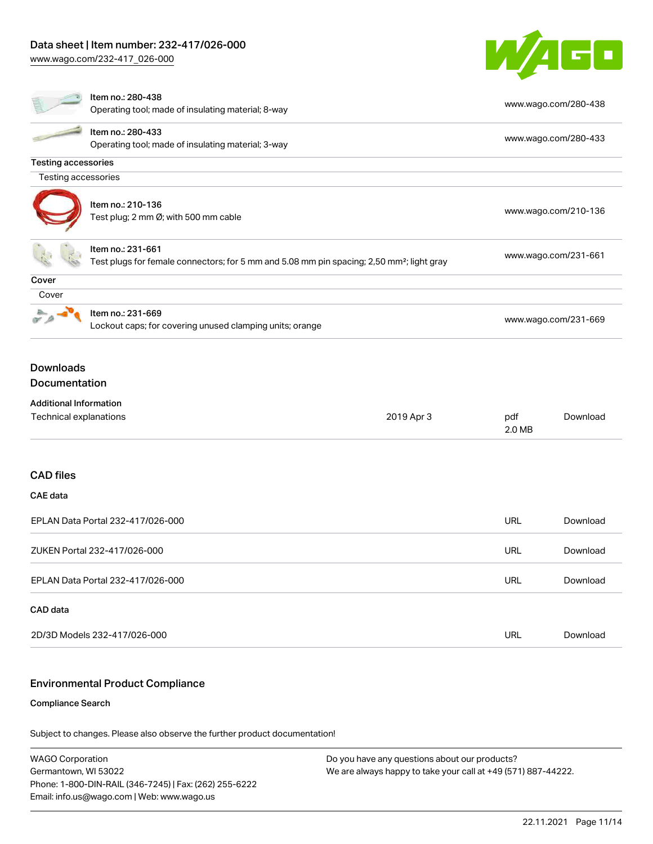

|                                                         | Item no.: 280-438<br>Operating tool; made of insulating material; 8-way                                                    |            |                      | www.wago.com/280-438 |  |
|---------------------------------------------------------|----------------------------------------------------------------------------------------------------------------------------|------------|----------------------|----------------------|--|
|                                                         | Item no.: 280-433<br>Operating tool; made of insulating material; 3-way                                                    |            |                      | www.wago.com/280-433 |  |
| <b>Testing accessories</b>                              |                                                                                                                            |            |                      |                      |  |
| Testing accessories                                     |                                                                                                                            |            |                      |                      |  |
|                                                         | Item no.: 210-136<br>Test plug; 2 mm Ø; with 500 mm cable                                                                  |            | www.wago.com/210-136 |                      |  |
|                                                         | Item no.: 231-661<br>Test plugs for female connectors; for 5 mm and 5.08 mm pin spacing; 2,50 mm <sup>2</sup> ; light gray |            | www.wago.com/231-661 |                      |  |
| Cover                                                   |                                                                                                                            |            |                      |                      |  |
| Cover                                                   |                                                                                                                            |            |                      |                      |  |
|                                                         | Item no.: 231-669<br>Lockout caps; for covering unused clamping units; orange                                              |            |                      | www.wago.com/231-669 |  |
| <b>Downloads</b><br>Documentation                       |                                                                                                                            |            |                      |                      |  |
| <b>Additional Information</b><br>Technical explanations |                                                                                                                            | 2019 Apr 3 | pdf<br>2.0 MB        | Download             |  |
| <b>CAD files</b>                                        |                                                                                                                            |            |                      |                      |  |
| <b>CAE</b> data                                         |                                                                                                                            |            |                      |                      |  |
| EPLAN Data Portal 232-417/026-000                       |                                                                                                                            |            | <b>URL</b>           | Download             |  |
| ZUKEN Portal 232-417/026-000                            |                                                                                                                            |            | <b>URL</b>           | Download             |  |
| EPLAN Data Portal 232-417/026-000                       |                                                                                                                            |            | URL                  | Download             |  |
| CAD data                                                |                                                                                                                            |            |                      |                      |  |
| 2D/3D Models 232-417/026-000                            |                                                                                                                            | <b>URL</b> | Download             |                      |  |
|                                                         |                                                                                                                            |            |                      |                      |  |

#### Environmental Product Compliance

#### Compliance Search

Subject to changes. Please also observe the further product documentation!

WAGO Corporation Germantown, WI 53022 Phone: 1-800-DIN-RAIL (346-7245) | Fax: (262) 255-6222 Email: info.us@wago.com | Web: www.wago.us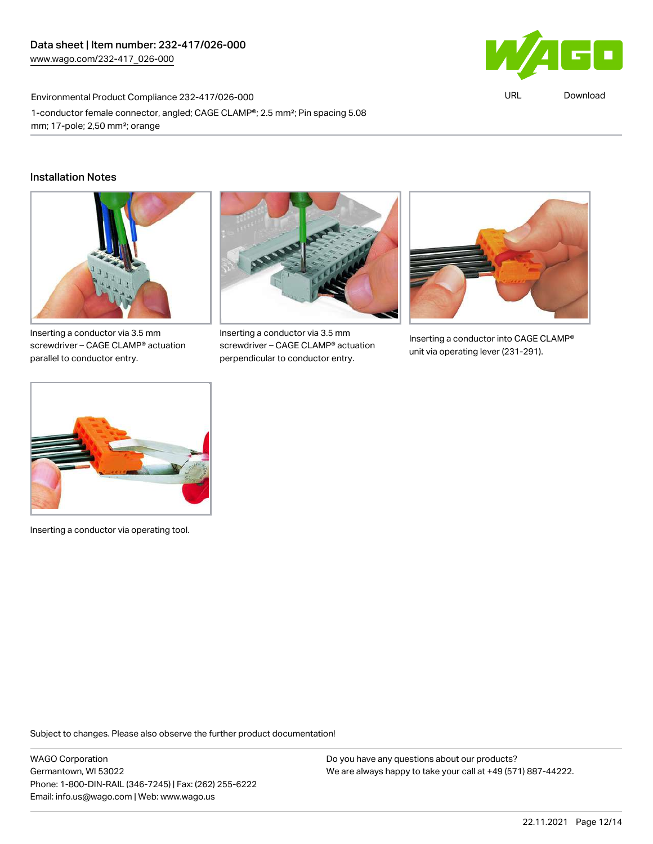

URL [Download](https://www.wago.com/global/d/ComplianceLinkMediaContainer_232-417_026-000)

Environmental Product Compliance 232-417/026-000 1-conductor female connector, angled; CAGE CLAMP®; 2.5 mm²; Pin spacing 5.08 mm; 17-pole; 2,50 mm²; orange

#### Installation Notes



Inserting a conductor via 3.5 mm screwdriver – CAGE CLAMP® actuation parallel to conductor entry.



Inserting a conductor via 3.5 mm screwdriver – CAGE CLAMP® actuation perpendicular to conductor entry.



Inserting a conductor into CAGE CLAMP® unit via operating lever (231-291).



Inserting a conductor via operating tool.

Subject to changes. Please also observe the further product documentation!

WAGO Corporation Germantown, WI 53022 Phone: 1-800-DIN-RAIL (346-7245) | Fax: (262) 255-6222 Email: info.us@wago.com | Web: www.wago.us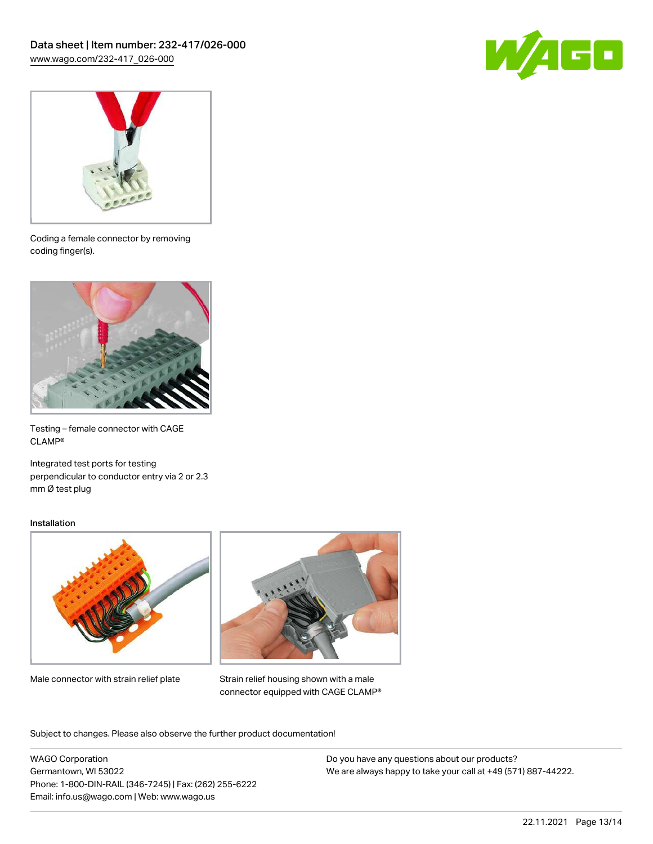



Coding a female connector by removing coding finger(s).



Testing – female connector with CAGE CLAMP®

Integrated test ports for testing perpendicular to conductor entry via 2 or 2.3 mm Ø test plug

#### Installation



Male connector with strain relief plate



Strain relief housing shown with a male connector equipped with CAGE CLAMP®

Subject to changes. Please also observe the further product documentation!

WAGO Corporation Germantown, WI 53022 Phone: 1-800-DIN-RAIL (346-7245) | Fax: (262) 255-6222 Email: info.us@wago.com | Web: www.wago.us